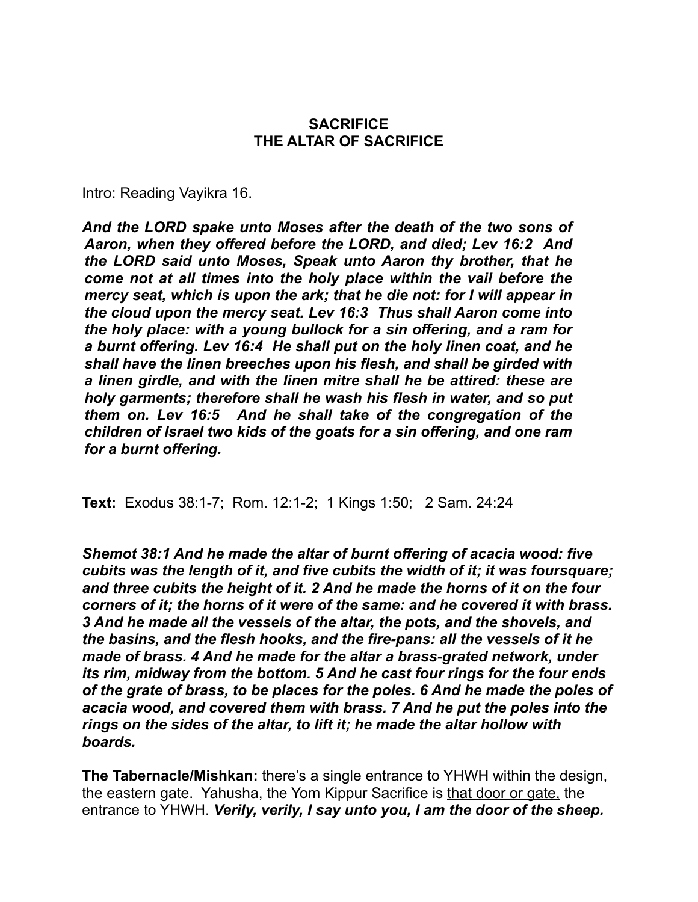#### **SACRIFICE THE ALTAR OF SACRIFICE**

Intro: Reading Vayikra 16.

*And the LORD spake unto Moses after the death of the two sons of Aaron, when they offered before the LORD, and died; Lev 16:2 And the LORD said unto Moses, Speak unto Aaron thy brother, that he come not at all times into the holy place within the vail before the mercy seat, which is upon the ark; that he die not: for I will appear in the cloud upon the mercy seat. Lev 16:3 Thus shall Aaron come into the holy place: with a young bullock for a sin offering, and a ram for a burnt offering. Lev 16:4 He shall put on the holy linen coat, and he shall have the linen breeches upon his flesh, and shall be girded with a linen girdle, and with the linen mitre shall he be attired: these are holy garments; therefore shall he wash his flesh in water, and so put them on. Lev 16:5 And he shall take of the congregation of the children of Israel two kids of the goats for a sin offering, and one ram for a burnt offering.*

**Text:** Exodus 38:1-7; Rom. 12:1-2; 1 Kings 1:50; 2 Sam. 24:24

*Shemot 38:1 And he made the altar of burnt offering of acacia wood: five cubits was the length of it, and five cubits the width of it; it was foursquare; and three cubits the height of it. 2 And he made the horns of it on the four corners of it; the horns of it were of the same: and he covered it with brass. 3 And he made all the vessels of the altar, the pots, and the shovels, and the basins, and the flesh hooks, and the fire-pans: all the vessels of it he made of brass. 4 And he made for the altar a brass-grated network, under its rim, midway from the bottom. 5 And he cast four rings for the four ends of the grate of brass, to be places for the poles. 6 And he made the poles of acacia wood, and covered them with brass. 7 And he put the poles into the rings on the sides of the altar, to lift it; he made the altar hollow with boards.*

**The Tabernacle/Mishkan:** there's a single entrance to YHWH within the design, the eastern gate. Yahusha, the Yom Kippur Sacrifice is that door or gate, the entrance to YHWH. *Verily, verily, I say unto you, I am the door of the sheep.*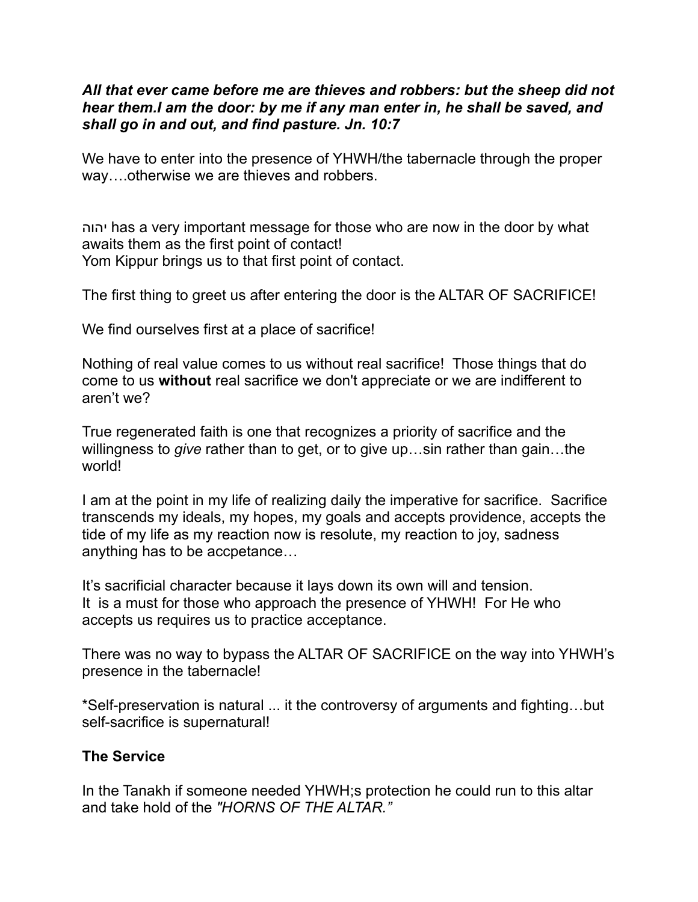#### *All that ever came before me are thieves and robbers: but the sheep did not hear them.I am the door: by me if any man enter in, he shall be saved, and shall go in and out, and find pasture. Jn. 10:7*

We have to enter into the presence of YHWH/the tabernacle through the proper way….otherwise we are thieves and robbers.

יהוה has a very important message for those who are now in the door by what awaits them as the first point of contact! Yom Kippur brings us to that first point of contact.

The first thing to greet us after entering the door is the ALTAR OF SACRIFICE!

We find ourselves first at a place of sacrifice!

Nothing of real value comes to us without real sacrifice! Those things that do come to us **without** real sacrifice we don't appreciate or we are indifferent to aren't we?

True regenerated faith is one that recognizes a priority of sacrifice and the willingness to *give* rather than to get, or to give up…sin rather than gain…the world!

I am at the point in my life of realizing daily the imperative for sacrifice. Sacrifice transcends my ideals, my hopes, my goals and accepts providence, accepts the tide of my life as my reaction now is resolute, my reaction to joy, sadness anything has to be accpetance…

It's sacrificial character because it lays down its own will and tension. It is a must for those who approach the presence of YHWH! For He who accepts us requires us to practice acceptance.

There was no way to bypass the ALTAR OF SACRIFICE on the way into YHWH's presence in the tabernacle!

\*Self-preservation is natural ... it the controversy of arguments and fighting…but self-sacrifice is supernatural!

### **The Service**

In the Tanakh if someone needed YHWH;s protection he could run to this altar and take hold of the *"HORNS OF THE ALTAR."*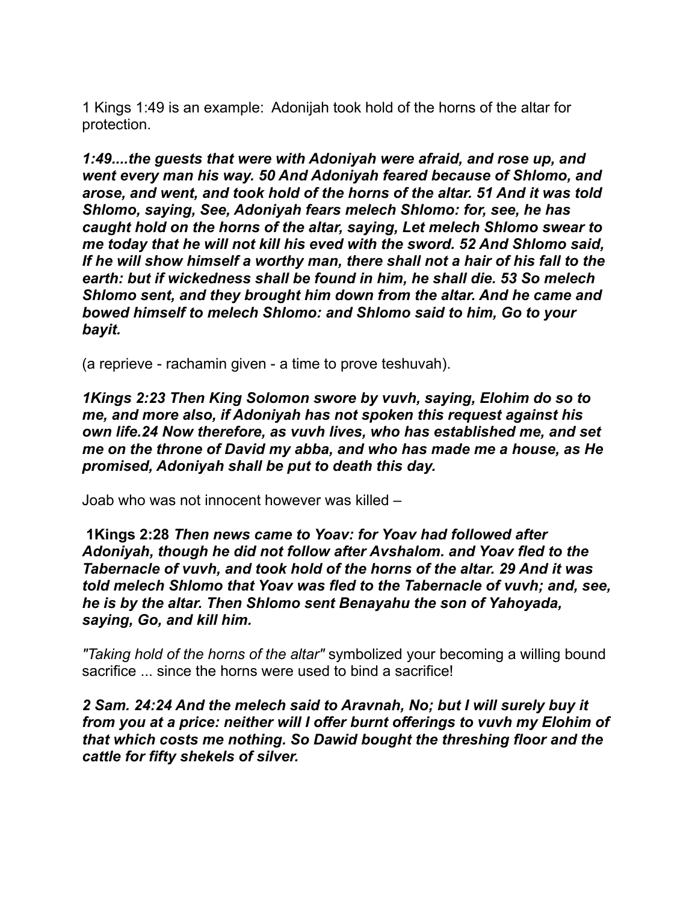1 Kings 1:49 is an example: Adonijah took hold of the horns of the altar for protection.

*1:49....the guests that were with Adoniyah were afraid, and rose up, and went every man his way. 50 And Adoniyah feared because of Shlomo, and arose, and went, and took hold of the horns of the altar. 51 And it was told Shlomo, saying, See, Adoniyah fears melech Shlomo: for, see, he has caught hold on the horns of the altar, saying, Let melech Shlomo swear to me today that he will not kill his eved with the sword. 52 And Shlomo said, If he will show himself a worthy man, there shall not a hair of his fall to the earth: but if wickedness shall be found in him, he shall die. 53 So melech Shlomo sent, and they brought him down from the altar. And he came and bowed himself to melech Shlomo: and Shlomo said to him, Go to your bayit.*

(a reprieve - rachamin given - a time to prove teshuvah).

*1Kings 2:23 Then King Solomon swore by vuvh, saying, Elohim do so to me, and more also, if Adoniyah has not spoken this request against his own life.24 Now therefore, as vuvh lives, who has established me, and set me on the throne of David my abba, and who has made me a house, as He promised, Adoniyah shall be put to death this day.* 

Joab who was not innocent however was killed –

 **1Kings 2:28** *Then news came to Yoav: for Yoav had followed after Adoniyah, though he did not follow after Avshalom. and Yoav fled to the Tabernacle of vuvh, and took hold of the horns of the altar. 29 And it was told melech Shlomo that Yoav was fled to the Tabernacle of vuvh; and, see, he is by the altar. Then Shlomo sent Benayahu the son of Yahoyada, saying, Go, and kill him.*

*"Taking hold of the horns of the altar"* symbolized your becoming a willing bound sacrifice ... since the horns were used to bind a sacrifice!

*2 Sam. 24:24 And the melech said to Aravnah, No; but I will surely buy it from you at a price: neither will I offer burnt offerings to vuvh my Elohim of that which costs me nothing. So Dawid bought the threshing floor and the cattle for fifty shekels of silver.*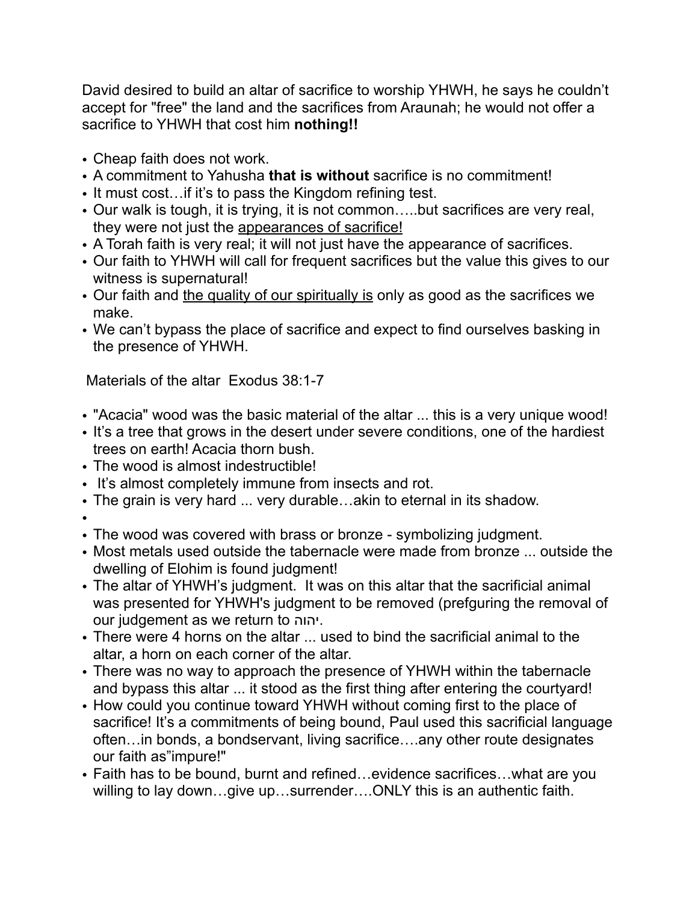David desired to build an altar of sacrifice to worship YHWH, he says he couldn't accept for "free" the land and the sacrifices from Araunah; he would not offer a sacrifice to YHWH that cost him **nothing!!**

- Cheap faith does not work.
- A commitment to Yahusha **that is without** sacrifice is no commitment!
- It must cost…if it's to pass the Kingdom refining test.
- Our walk is tough, it is trying, it is not common…..but sacrifices are very real, they were not just the appearances of sacrifice!
- A Torah faith is very real; it will not just have the appearance of sacrifices.
- Our faith to YHWH will call for frequent sacrifices but the value this gives to our witness is supernatural!
- Our faith and the quality of our spiritually is only as good as the sacrifices we make.
- We can't bypass the place of sacrifice and expect to find ourselves basking in the presence of YHWH.

Materials of the altar Exodus 38:1-7

- "Acacia" wood was the basic material of the altar ... this is a very unique wood!
- It's a tree that grows in the desert under severe conditions, one of the hardiest trees on earth! Acacia thorn bush.
- The wood is almost indestructible!
- It's almost completely immune from insects and rot.
- The grain is very hard ... very durable…akin to eternal in its shadow.
- •
- The wood was covered with brass or bronze symbolizing judgment.
- Most metals used outside the tabernacle were made from bronze ... outside the dwelling of Elohim is found judgment!
- The altar of YHWH's judgment. It was on this altar that the sacrificial animal was presented for YHWH's judgment to be removed (prefguring the removal of our judgement as we return to יהוה.
- There were 4 horns on the altar ... used to bind the sacrificial animal to the altar, a horn on each corner of the altar.
- There was no way to approach the presence of YHWH within the tabernacle and bypass this altar ... it stood as the first thing after entering the courtyard!
- How could you continue toward YHWH without coming first to the place of sacrifice! It's a commitments of being bound, Paul used this sacrificial language often…in bonds, a bondservant, living sacrifice….any other route designates our faith as"impure!"
- Faith has to be bound, burnt and refined…evidence sacrifices…what are you willing to lay down…give up…surrender….ONLY this is an authentic faith.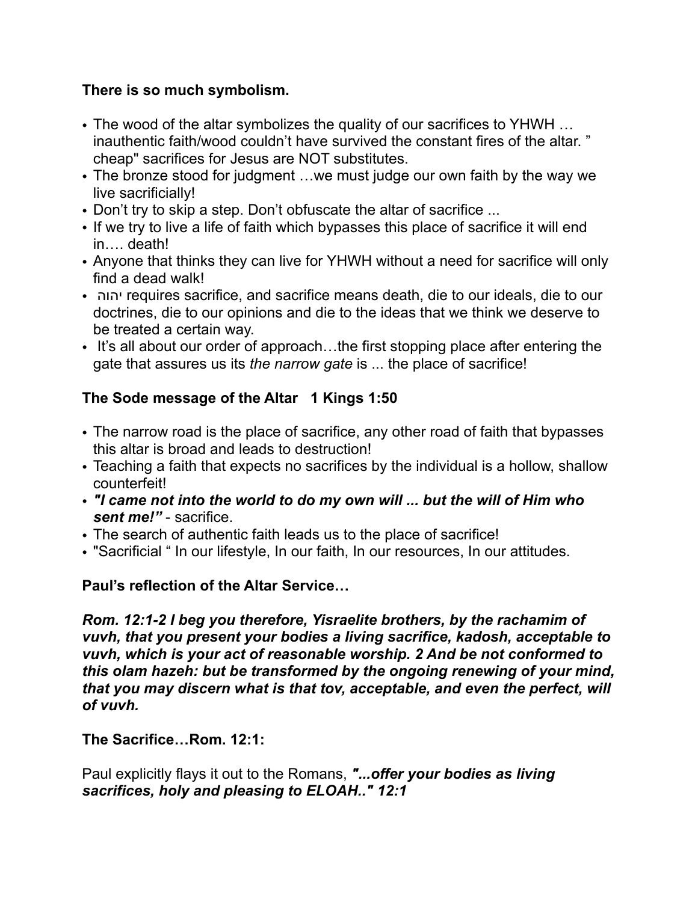### **There is so much symbolism.**

- The wood of the altar symbolizes the quality of our sacrifices to YHWH … inauthentic faith/wood couldn't have survived the constant fires of the altar. " cheap" sacrifices for Jesus are NOT substitutes.
- The bronze stood for judgment …we must judge our own faith by the way we live sacrificially!
- Don't try to skip a step. Don't obfuscate the altar of sacrifice ...
- If we try to live a life of faith which bypasses this place of sacrifice it will end in…. death!
- Anyone that thinks they can live for YHWH without a need for sacrifice will only find a dead walk!
- יהוה requires sacrifice, and sacrifice means death, die to our ideals, die to our doctrines, die to our opinions and die to the ideas that we think we deserve to be treated a certain way.
- It's all about our order of approach...the first stopping place after entering the gate that assures us its *the narrow gate* is ... the place of sacrifice!

# **The Sode message of the Altar 1 Kings 1:50**

- The narrow road is the place of sacrifice, any other road of faith that bypasses this altar is broad and leads to destruction!
- Teaching a faith that expects no sacrifices by the individual is a hollow, shallow counterfeit!
- *"I came not into the world to do my own will ... but the will of Him who sent me!"* - sacrifice.
- The search of authentic faith leads us to the place of sacrifice!
- "Sacrificial " In our lifestyle, In our faith, In our resources, In our attitudes.

# **Paul's reflection of the Altar Service…**

*Rom. 12:1-2 I beg you therefore, Yisraelite brothers, by the rachamim of vuvh, that you present your bodies a living sacrifice, kadosh, acceptable to vuvh, which is your act of reasonable worship. 2 And be not conformed to this olam hazeh: but be transformed by the ongoing renewing of your mind, that you may discern what is that tov, acceptable, and even the perfect, will of vuvh.*

# **The Sacrifice…Rom. 12:1:**

Paul explicitly flays it out to the Romans, *"...offer your bodies as living sacrifices, holy and pleasing to ELOAH.." 12:1*